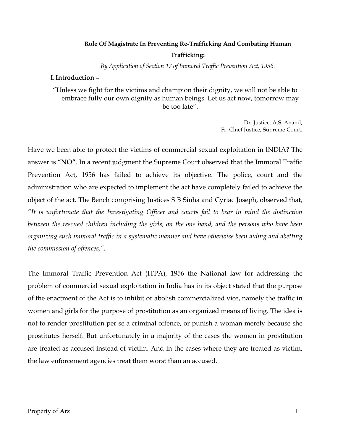# **Role Of Magistrate In Preventing Re-Trafficking And Combating Human Trafficking:**

*By Application of Section 17 of Immoral Traffic Prevention Act, 1956.*

#### **I.Introduction –**

"Unless we fight for the victims and champion their dignity, we will not be able to embrace fully our own dignity as human beings. Let us act now, tomorrow may be too late".

> Dr. Justice. A.S. Anand, Fr. Chief Justice, Supreme Court.

Have we been able to protect the victims of commercial sexual exploitation in INDIA? The answer is "**NO"**. In a recent judgment the Supreme Court observed that the Immoral Traffic Prevention Act, 1956 has failed to achieve its objective. The police, court and the administration who are expected to implement the act have completely failed to achieve the object of the act. The Bench comprising Justices S B Sinha and Cyriac Joseph, observed that, *"It is unfortunate that the Investigating Officer and courts fail to bear in mind the distinction between the rescued children including the girls, on the one hand, and the persons who have been organizing such immoral traffic in a systematic manner and have otherwise been aiding and abetting the commission of offences,".* 

The Immoral Traffic Prevention Act (ITPA), 1956 the National law for addressing the problem of commercial sexual exploitation in India has in its object stated that the purpose of the enactment of the Act is to inhibit or abolish commercialized vice, namely the traffic in women and girls for the purpose of prostitution as an organized means of living. The idea is not to render prostitution per se a criminal offence, or punish a woman merely because she prostitutes herself. But unfortunately in a majority of the cases the women in prostitution are treated as accused instead of victim. And in the cases where they are treated as victim, the law enforcement agencies treat them worst than an accused.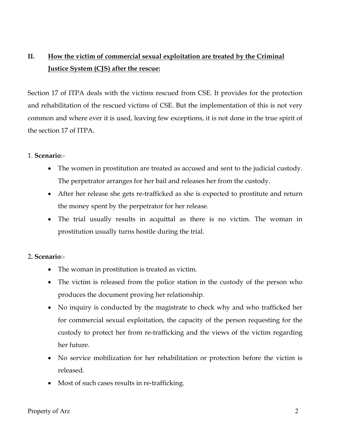# **II. How the victim of commercial sexual exploitation are treated by the Criminal Justice System (CJS) after the rescue:**

Section 17 of ITPA deals with the victims rescued from CSE. It provides for the protection and rehabilitation of the rescued victims of CSE. But the implementation of this is not very common and where ever it is used, leaving few exceptions, it is not done in the true spirit of the section 17 of ITPA.

## 1. **Scenario**:-

- The women in prostitution are treated as accused and sent to the judicial custody. The perpetrator arranges for her bail and releases her from the custody.
- After her release she gets re-trafficked as she is expected to prostitute and return the money spent by the perpetrator for her release.
- The trial usually results in acquittal as there is no victim. The woman in prostitution usually turns hostile during the trial.

## 2**. Scenario**:-

- The woman in prostitution is treated as victim.
- The victim is released from the police station in the custody of the person who produces the document proving her relationship.
- No inquiry is conducted by the magistrate to check why and who trafficked her for commercial sexual exploitation, the capacity of the person requesting for the custody to protect her from re-trafficking and the views of the victim regarding her future.
- No service mobilization for her rehabilitation or protection before the victim is released.
- Most of such cases results in re-trafficking.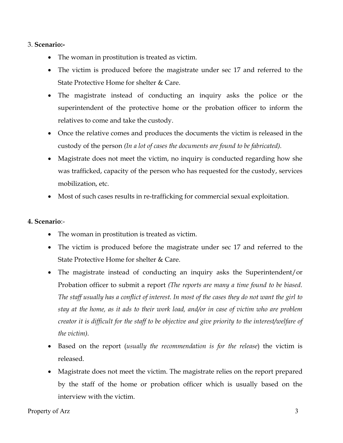#### 3. **Scenario:-**

- The woman in prostitution is treated as victim.
- The victim is produced before the magistrate under sec 17 and referred to the State Protective Home for shelter & Care.
- The magistrate instead of conducting an inquiry asks the police or the superintendent of the protective home or the probation officer to inform the relatives to come and take the custody.
- Once the relative comes and produces the documents the victim is released in the custody of the person *(In a lot of cases the documents are found to be fabricated).*
- Magistrate does not meet the victim, no inquiry is conducted regarding how she was trafficked, capacity of the person who has requested for the custody, services mobilization, etc.
- Most of such cases results in re-trafficking for commercial sexual exploitation.

## **4. Scenario**:-

- The woman in prostitution is treated as victim.
- The victim is produced before the magistrate under sec 17 and referred to the State Protective Home for shelter & Care.
- The magistrate instead of conducting an inquiry asks the Superintendent/or Probation officer to submit a report *(The reports are many a time found to be biased. The staff usually has a conflict of interest. In most of the cases they do not want the girl to stay at the home, as it ads to their work load, and/or in case of victim who are problem creator it is difficult for the staff to be objective and give priority to the interest/welfare of the victim).*
- Based on the report (*usually the recommendation is for the release*) the victim is released.
- Magistrate does not meet the victim. The magistrate relies on the report prepared by the staff of the home or probation officer which is usually based on the interview with the victim.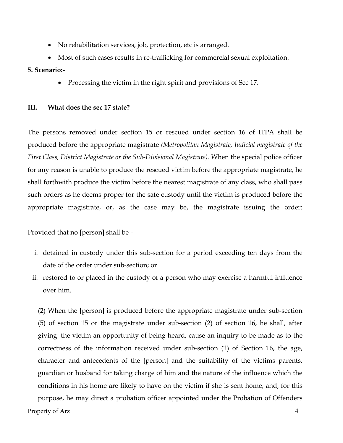- No rehabilitation services, job, protection, etc is arranged.
- Most of such cases results in re-trafficking for commercial sexual exploitation.

#### **5. Scenario:-**

• Processing the victim in the right spirit and provisions of Sec 17.

## **III. What does the sec 17 state?**

The persons removed under section 15 or rescued under section 16 of ITPA shall be produced before the appropriate magistrate *(Metropolitan Magistrate, Judicial magistrate of the First Class, District Magistrate or the Sub-Divisional Magistrate).* When the special police officer for any reason is unable to produce the rescued victim before the appropriate magistrate, he shall forthwith produce the victim before the nearest magistrate of any class, who shall pass such orders as he deems proper for the safe custody until the victim is produced before the appropriate magistrate, or, as the case may be, the magistrate issuing the order:

Provided that no [person] shall be -

- i. detained in custody under this sub-section for a period exceeding ten days from the date of the order under sub-section; or
- ii. restored to or placed in the custody of a person who may exercise a harmful influence over him.

(2) When the [person] is produced before the appropriate magistrate under sub-section (5) of section 15 or the magistrate under sub-section (2) of section 16, he shall, after giving the victim an opportunity of being heard, cause an inquiry to be made as to the correctness of the information received under sub-section (1) of Section 16, the age, character and antecedents of the [person] and the suitability of the victims parents, guardian or husband for taking charge of him and the nature of the influence which the conditions in his home are likely to have on the victim if she is sent home, and, for this purpose, he may direct a probation officer appointed under the Probation of Offenders

## Property of Arz 4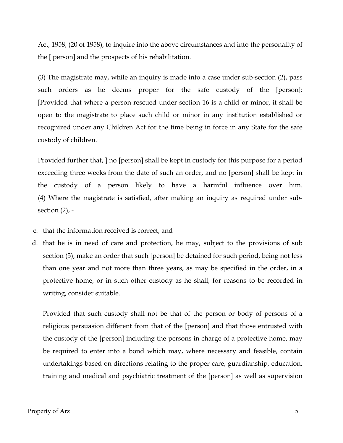Act, 1958, (20 of 1958), to inquire into the above circumstances and into the personality of the [ person] and the prospects of his rehabilitation.

(3) The magistrate may, while an inquiry is made into a case under sub-section (2), pass such orders as he deems proper for the safe custody of the [person]: [Provided that where a person rescued under section 16 is a child or minor, it shall be open to the magistrate to place such child or minor in any institution established or recognized under any Children Act for the time being in force in any State for the safe custody of children.

Provided further that, ] no [person] shall be kept in custody for this purpose for a period exceeding three weeks from the date of such an order, and no [person] shall be kept in the custody of a person likely to have a harmful influence over him. (4) Where the magistrate is satisfied, after making an inquiry as required under subsection (2), -

- c. that the information received is correct; and
- d. that he is in need of care and protection, he may, subject to the provisions of sub section (5), make an order that such [person] be detained for such period, being not less than one year and not more than three years, as may be specified in the order, in a protective home, or in such other custody as he shall, for reasons to be recorded in writing, consider suitable.

Provided that such custody shall not be that of the person or body of persons of a religious persuasion different from that of the [person] and that those entrusted with the custody of the [person] including the persons in charge of a protective home, may be required to enter into a bond which may, where necessary and feasible, contain undertakings based on directions relating to the proper care, guardianship, education, training and medical and psychiatric treatment of the [person] as well as supervision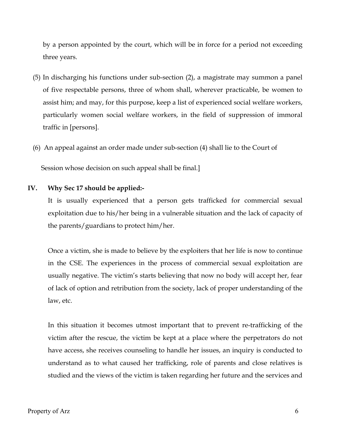by a person appointed by the court, which will be in force for a period not exceeding three years.

- (5) In discharging his functions under sub-section (2), a magistrate may summon a panel of five respectable persons, three of whom shall, wherever practicable, be women to assist him; and may, for this purpose, keep a list of experienced social welfare workers, particularly women social welfare workers, in the field of suppression of immoral traffic in [persons].
- (6) An appeal against an order made under sub-section (4) shall lie to the Court of

Session whose decision on such appeal shall be final.]

## **IV. Why Sec 17 should be applied:-**

It is usually experienced that a person gets trafficked for commercial sexual exploitation due to his/her being in a vulnerable situation and the lack of capacity of the parents/guardians to protect him/her.

Once a victim, she is made to believe by the exploiters that her life is now to continue in the CSE. The experiences in the process of commercial sexual exploitation are usually negative. The victim's starts believing that now no body will accept her, fear of lack of option and retribution from the society, lack of proper understanding of the law, etc.

In this situation it becomes utmost important that to prevent re-trafficking of the victim after the rescue, the victim be kept at a place where the perpetrators do not have access, she receives counseling to handle her issues, an inquiry is conducted to understand as to what caused her trafficking, role of parents and close relatives is studied and the views of the victim is taken regarding her future and the services and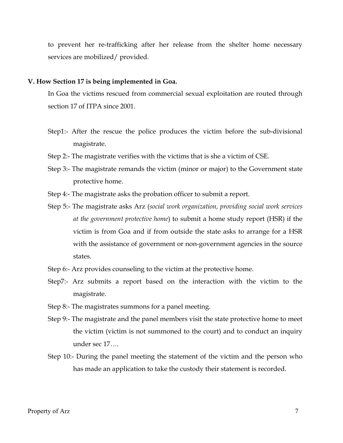to prevent her re-trafficking after her release from the shelter home necessary services are mobilized/ provided.

#### **V. How Section 17 is being implemented in Goa.**

In Goa the victims rescued from commercial sexual exploitation are routed through section 17 of ITPA since 2001.

- Step1:- After the rescue the police produces the victim before the sub-divisional magistrate.
- Step 2:- The magistrate verifies with the victims that is she a victim of CSE.
- Step 3:- The magistrate remands the victim (minor or major) to the Government state protective home.
- Step 4:- The magistrate asks the probation officer to submit a report.
- Step 5:- The magistrate asks Arz (*social work organization, providing social work services at the government protective home*) to submit a home study report (HSR) if the victim is from Goa and if from outside the state asks to arrange for a HSR with the assistance of government or non-government agencies in the source states.
- Step 6:- Arz provides counseling to the victim at the protective home.
- Step7:- Arz submits a report based on the interaction with the victim to the magistrate.
- Step 8:- The magistrates summons for a panel meeting.
- Step 9:- The magistrate and the panel members visit the state protective home to meet the victim (victim is not summoned to the court) and to conduct an inquiry under sec 17….
- Step 10:- During the panel meeting the statement of the victim and the person who has made an application to take the custody their statement is recorded.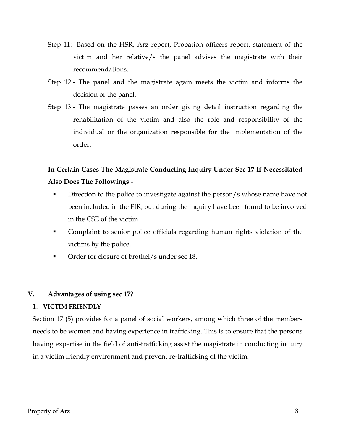- Step 11:- Based on the HSR, Arz report, Probation officers report, statement of the victim and her relative/s the panel advises the magistrate with their recommendations.
- Step 12:- The panel and the magistrate again meets the victim and informs the decision of the panel.
- Step 13:- The magistrate passes an order giving detail instruction regarding the rehabilitation of the victim and also the role and responsibility of the individual or the organization responsible for the implementation of the order.

# **In Certain Cases The Magistrate Conducting Inquiry Under Sec 17 If Necessitated Also Does The Followings**:-

- Direction to the police to investigate against the person/s whose name have not been included in the FIR, but during the inquiry have been found to be involved in the CSE of the victim.
- Complaint to senior police officials regarding human rights violation of the victims by the police.
- Order for closure of brothel/s under sec 18.

## **V. Advantages of using sec 17?**

## 1. **VICTIM FRIENDLY** –

Section 17 (5) provides for a panel of social workers, among which three of the members needs to be women and having experience in trafficking. This is to ensure that the persons having expertise in the field of anti-trafficking assist the magistrate in conducting inquiry in a victim friendly environment and prevent re-trafficking of the victim.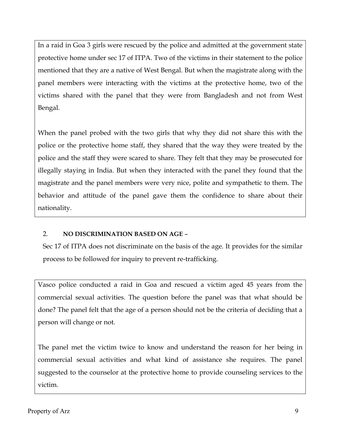In a raid in Goa 3 girls were rescued by the police and admitted at the government state protective home under sec 17 of ITPA. Two of the victims in their statement to the police mentioned that they are a native of West Bengal. But when the magistrate along with the panel members were interacting with the victims at the protective home, two of the victims shared with the panel that they were from Bangladesh and not from West Bengal.

When the panel probed with the two girls that why they did not share this with the police or the protective home staff, they shared that the way they were treated by the police and the staff they were scared to share. They felt that they may be prosecuted for illegally staying in India. But when they interacted with the panel they found that the magistrate and the panel members were very nice, polite and sympathetic to them. The behavior and attitude of the panel gave them the confidence to share about their nationality.

## 2. **NO DISCRIMINATION BASED ON AGE** –

Sec 17 of ITPA does not discriminate on the basis of the age. It provides for the similar process to be followed for inquiry to prevent re-trafficking.

Vasco police conducted a raid in Goa and rescued a victim aged 45 years from the commercial sexual activities. The question before the panel was that what should be done? The panel felt that the age of a person should not be the criteria of deciding that a person will change or not.

The panel met the victim twice to know and understand the reason for her being in commercial sexual activities and what kind of assistance she requires. The panel suggested to the counselor at the protective home to provide counseling services to the victim.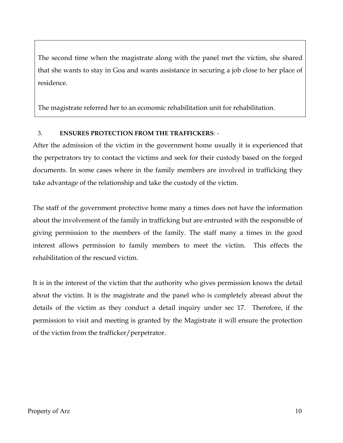The second time when the magistrate along with the panel met the victim, she shared that she wants to stay in Goa and wants assistance in securing a job close to her place of residence.

The magistrate referred her to an economic rehabilitation unit for rehabilitation.

## 3. **ENSURES PROTECTION FROM THE TRAFFICKERS**: -

After the admission of the victim in the government home usually it is experienced that the perpetrators try to contact the victims and seek for their custody based on the forged documents. In some cases where in the family members are involved in trafficking they take advantage of the relationship and take the custody of the victim.

The staff of the government protective home many a times does not have the information about the involvement of the family in trafficking but are entrusted with the responsible of giving permission to the members of the family. The staff many a times in the good interest allows permission to family members to meet the victim. This effects the rehabilitation of the rescued victim.

It is in the interest of the victim that the authority who gives permission knows the detail about the victim. It is the magistrate and the panel who is completely abreast about the details of the victim as they conduct a detail inquiry under sec 17. Therefore, if the permission to visit and meeting is granted by the Magistrate it will ensure the protection of the victim from the trafficker/perpetrator.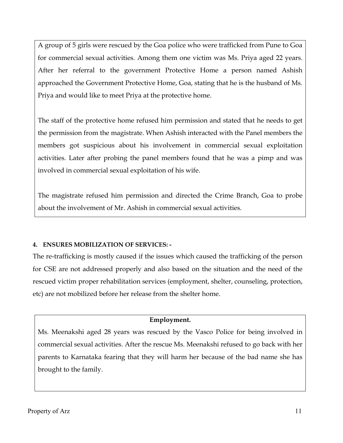A group of 5 girls were rescued by the Goa police who were trafficked from Pune to Goa for commercial sexual activities. Among them one victim was Ms. Priya aged 22 years. After her referral to the government Protective Home a person named Ashish approached the Government Protective Home, Goa, stating that he is the husband of Ms. Priya and would like to meet Priya at the protective home.

The staff of the protective home refused him permission and stated that he needs to get the permission from the magistrate. When Ashish interacted with the Panel members the members got suspicious about his involvement in commercial sexual exploitation activities. Later after probing the panel members found that he was a pimp and was involved in commercial sexual exploitation of his wife.

The magistrate refused him permission and directed the Crime Branch, Goa to probe about the involvement of Mr. Ashish in commercial sexual activities.

## **4. ENSURES MOBILIZATION OF SERVICES: -**

The re-trafficking is mostly caused if the issues which caused the trafficking of the person for CSE are not addressed properly and also based on the situation and the need of the rescued victim proper rehabilitation services (employment, shelter, counseling, protection, etc) are not mobilized before her release from the shelter home.

## **Employment.**

Ms. Meenakshi aged 28 years was rescued by the Vasco Police for being involved in commercial sexual activities. After the rescue Ms. Meenakshi refused to go back with her parents to Karnataka fearing that they will harm her because of the bad name she has brought to the family.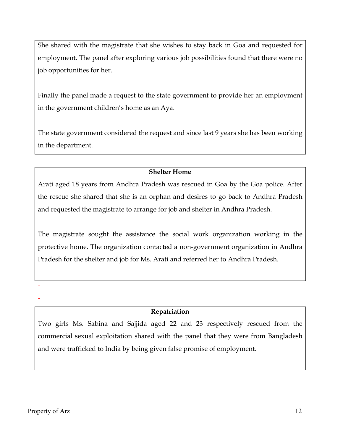She shared with the magistrate that she wishes to stay back in Goa and requested for employment. The panel after exploring various job possibilities found that there were no job opportunities for her.

Finally the panel made a request to the state government to provide her an employment in the government children's home as an Aya.

The state government considered the request and since last 9 years she has been working in the department.

## **Shelter Home**

Arati aged 18 years from Andhra Pradesh was rescued in Goa by the Goa police. After the rescue she shared that she is an orphan and desires to go back to Andhra Pradesh and requested the magistrate to arrange for job and shelter in Andhra Pradesh.

The magistrate sought the assistance the social work organization working in the protective home. The organization contacted a non-government organization in Andhra Pradesh for the shelter and job for Ms. Arati and referred her to Andhra Pradesh.

**Repatriation** 

Two girls Ms. Sabina and Sajjida aged 22 and 23 respectively rescued from the commercial sexual exploitation shared with the panel that they were from Bangladesh and were trafficked to India by being given false promise of employment.

-

-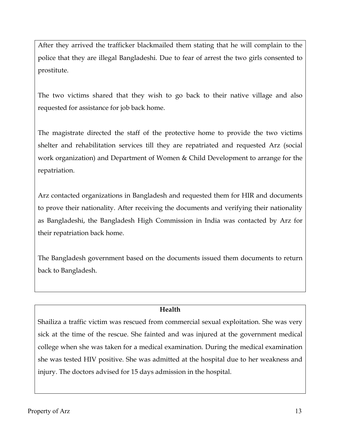After they arrived the trafficker blackmailed them stating that he will complain to the police that they are illegal Bangladeshi. Due to fear of arrest the two girls consented to prostitute.

The two victims shared that they wish to go back to their native village and also requested for assistance for job back home.

The magistrate directed the staff of the protective home to provide the two victims shelter and rehabilitation services till they are repatriated and requested Arz (social work organization) and Department of Women & Child Development to arrange for the repatriation.

Arz contacted organizations in Bangladesh and requested them for HIR and documents to prove their nationality. After receiving the documents and verifying their nationality as Bangladeshi, the Bangladesh High Commission in India was contacted by Arz for their repatriation back home.

The Bangladesh government based on the documents issued them documents to return back to Bangladesh.

## **Health**

Shailiza a traffic victim was rescued from commercial sexual exploitation. She was very sick at the time of the rescue. She fainted and was injured at the government medical college when she was taken for a medical examination. During the medical examination she was tested HIV positive. She was admitted at the hospital due to her weakness and injury. The doctors advised for 15 days admission in the hospital.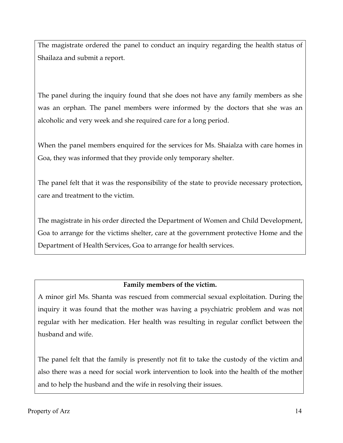The magistrate ordered the panel to conduct an inquiry regarding the health status of Shailaza and submit a report.

The panel during the inquiry found that she does not have any family members as she was an orphan. The panel members were informed by the doctors that she was an alcoholic and very week and she required care for a long period.

When the panel members enquired for the services for Ms. Shaialza with care homes in Goa, they was informed that they provide only temporary shelter.

The panel felt that it was the responsibility of the state to provide necessary protection, care and treatment to the victim.

The magistrate in his order directed the Department of Women and Child Development, Goa to arrange for the victims shelter, care at the government protective Home and the Department of Health Services, Goa to arrange for health services.

## **Family members of the victim.**

A minor girl Ms. Shanta was rescued from commercial sexual exploitation. During the inquiry it was found that the mother was having a psychiatric problem and was not regular with her medication. Her health was resulting in regular conflict between the husband and wife.

The panel felt that the family is presently not fit to take the custody of the victim and also there was a need for social work intervention to look into the health of the mother and to help the husband and the wife in resolving their issues.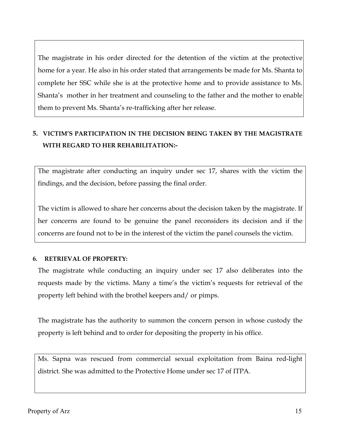The magistrate in his order directed for the detention of the victim at the protective home for a year. He also in his order stated that arrangements be made for Ms. Shanta to complete her SSC while she is at the protective home and to provide assistance to Ms. Shanta's mother in her treatment and counseling to the father and the mother to enable them to prevent Ms. Shanta's re-trafficking after her release.

# **5. VICTIM'S PARTICIPATION IN THE DECISION BEING TAKEN BY THE MAGISTRATE WITH REGARD TO HER REHABILITATION:-**

The magistrate after conducting an inquiry under sec 17, shares with the victim the findings, and the decision, before passing the final order.

The victim is allowed to share her concerns about the decision taken by the magistrate. If her concerns are found to be genuine the panel reconsiders its decision and if the concerns are found not to be in the interest of the victim the panel counsels the victim.

## **6. RETRIEVAL OF PROPERTY:**

The magistrate while conducting an inquiry under sec 17 also deliberates into the requests made by the victims. Many a time's the victim's requests for retrieval of the property left behind with the brothel keepers and/ or pimps.

The magistrate has the authority to summon the concern person in whose custody the property is left behind and to order for depositing the property in his office.

Ms. Sapna was rescued from commercial sexual exploitation from Baina red-light district. She was admitted to the Protective Home under sec 17 of ITPA.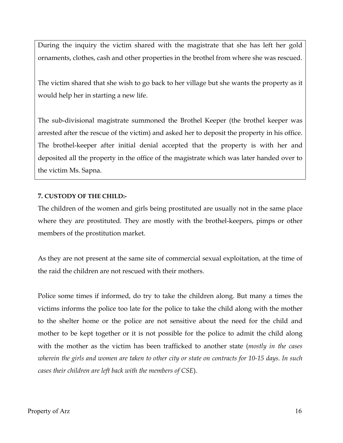During the inquiry the victim shared with the magistrate that she has left her gold ornaments, clothes, cash and other properties in the brothel from where she was rescued.

The victim shared that she wish to go back to her village but she wants the property as it would help her in starting a new life.

The sub-divisional magistrate summoned the Brothel Keeper (the brothel keeper was arrested after the rescue of the victim) and asked her to deposit the property in his office. The brothel-keeper after initial denial accepted that the property is with her and deposited all the property in the office of the magistrate which was later handed over to the victim Ms. Sapna.

#### **7. CUSTODY OF THE CHILD:-**

The children of the women and girls being prostituted are usually not in the same place where they are prostituted. They are mostly with the brothel-keepers, pimps or other members of the prostitution market.

As they are not present at the same site of commercial sexual exploitation, at the time of the raid the children are not rescued with their mothers.

Police some times if informed, do try to take the children along. But many a times the victims informs the police too late for the police to take the child along with the mother to the shelter home or the police are not sensitive about the need for the child and mother to be kept together or it is not possible for the police to admit the child along with the mother as the victim has been trafficked to another state (*mostly in the cases wherein the girls and women are taken to other city or state on contracts for 10-15 days. In such cases their children are left back with the members of CSE*).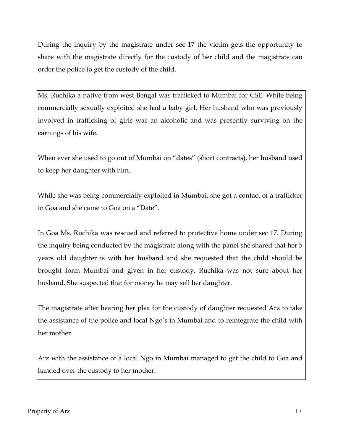During the inquiry by the magistrate under sec 17 the victim gets the opportunity to share with the magistrate directly for the custody of her child and the magistrate can order the police to get the custody of the child.

Ms. Ruchika a native from west Bengal was trafficked to Mumbai for CSE. While being commercially sexually exploited she had a baby girl. Her husband who was previously involved in trafficking of girls was an alcoholic and was presently surviving on the earnings of his wife.

When ever she used to go out of Mumbai on "dates" (short contracts), her husband used to keep her daughter with him.

While she was being commercially exploited in Mumbai, she got a contact of a trafficker in Goa and she came to Goa on a "Date".

In Goa Ms. Ruchika was rescued and referred to protective home under sec 17. During the inquiry being conducted by the magistrate along with the panel she shared that her 5 years old daughter is with her husband and she requested that the child should be brought form Mumbai and given in her custody. Ruchika was not sure about her husband. She suspected that for money he may sell her daughter.

The magistrate after hearing her plea for the custody of daughter requested Arz to take the assistance of the police and local Ngo's in Mumbai and to reintegrate the child with her mother.

Arz with the assistance of a local Ngo in Mumbai managed to get the child to Goa and handed over the custody to her mother.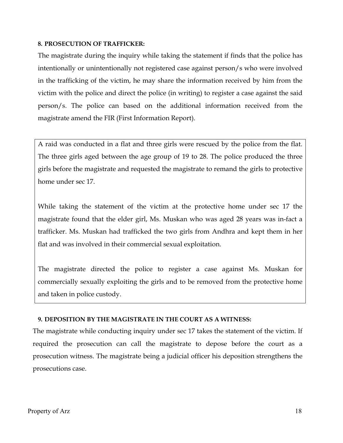#### **8. PROSECUTION OF TRAFFICKER:**

The magistrate during the inquiry while taking the statement if finds that the police has intentionally or unintentionally not registered case against person/s who were involved in the trafficking of the victim, he may share the information received by him from the victim with the police and direct the police (in writing) to register a case against the said person/s. The police can based on the additional information received from the magistrate amend the FIR (First Information Report).

A raid was conducted in a flat and three girls were rescued by the police from the flat. The three girls aged between the age group of 19 to 28. The police produced the three girls before the magistrate and requested the magistrate to remand the girls to protective home under sec 17.

While taking the statement of the victim at the protective home under sec 17 the magistrate found that the elder girl, Ms. Muskan who was aged 28 years was in-fact a trafficker. Ms. Muskan had trafficked the two girls from Andhra and kept them in her flat and was involved in their commercial sexual exploitation.

The magistrate directed the police to register a case against Ms. Muskan for commercially sexually exploiting the girls and to be removed from the protective home and taken in police custody.

#### **9. DEPOSITION BY THE MAGISTRATE IN THE COURT AS A WITNESS:**

The magistrate while conducting inquiry under sec 17 takes the statement of the victim. If required the prosecution can call the magistrate to depose before the court as a prosecution witness. The magistrate being a judicial officer his deposition strengthens the prosecutions case.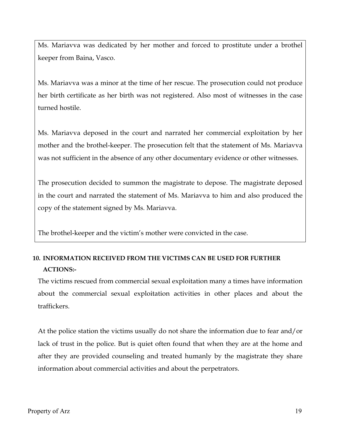Ms. Mariavva was dedicated by her mother and forced to prostitute under a brothel keeper from Baina, Vasco.

Ms. Mariavva was a minor at the time of her rescue. The prosecution could not produce her birth certificate as her birth was not registered. Also most of witnesses in the case turned hostile.

Ms. Mariavva deposed in the court and narrated her commercial exploitation by her mother and the brothel-keeper. The prosecution felt that the statement of Ms. Mariavva was not sufficient in the absence of any other documentary evidence or other witnesses.

The prosecution decided to summon the magistrate to depose. The magistrate deposed in the court and narrated the statement of Ms. Mariavva to him and also produced the copy of the statement signed by Ms. Mariavva.

The brothel-keeper and the victim's mother were convicted in the case.

# **10. INFORMATION RECEIVED FROM THE VICTIMS CAN BE USED FOR FURTHER ACTIONS:-**

The victims rescued from commercial sexual exploitation many a times have information about the commercial sexual exploitation activities in other places and about the traffickers.

At the police station the victims usually do not share the information due to fear and/or lack of trust in the police. But is quiet often found that when they are at the home and after they are provided counseling and treated humanly by the magistrate they share information about commercial activities and about the perpetrators.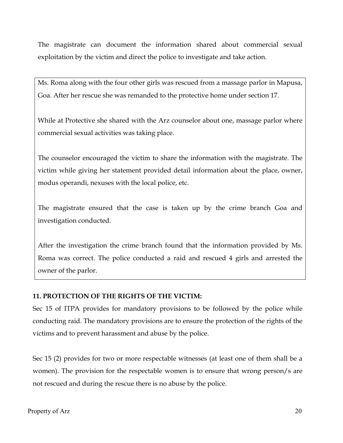The magistrate can document the information shared about commercial sexual exploitation by the victim and direct the police to investigate and take action.

Ms. Roma along with the four other girls was rescued from a massage parlor in Mapusa, Goa. After her rescue she was remanded to the protective home under section 17.

While at Protective she shared with the Arz counselor about one, massage parlor where commercial sexual activities was taking place.

The counselor encouraged the victim to share the information with the magistrate. The victim while giving her statement provided detail information about the place, owner, modus operandi, nexuses with the local police, etc.

The magistrate ensured that the case is taken up by the crime branch Goa and investigation conducted.

After the investigation the crime branch found that the information provided by Ms. Roma was correct. The police conducted a raid and rescued 4 girls and arrested the owner of the parlor.

## **11. PROTECTION OF THE RIGHTS OF THE VICTIM:**

Sec 15 of ITPA provides for mandatory provisions to be followed by the police while conducting raid. The mandatory provisions are to ensure the protection of the rights of the victims and to prevent harassment and abuse by the police.

Sec 15 (2) provides for two or more respectable witnesses (at least one of them shall be a women). The provision for the respectable women is to ensure that wrong person/s are not rescued and during the rescue there is no abuse by the police.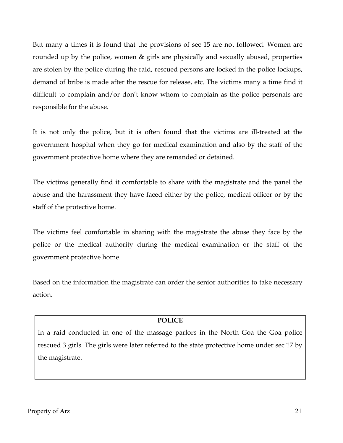But many a times it is found that the provisions of sec 15 are not followed. Women are rounded up by the police, women  $\&$  girls are physically and sexually abused, properties are stolen by the police during the raid, rescued persons are locked in the police lockups, demand of bribe is made after the rescue for release, etc. The victims many a time find it difficult to complain and/or don't know whom to complain as the police personals are responsible for the abuse.

It is not only the police, but it is often found that the victims are ill-treated at the government hospital when they go for medical examination and also by the staff of the government protective home where they are remanded or detained.

The victims generally find it comfortable to share with the magistrate and the panel the abuse and the harassment they have faced either by the police, medical officer or by the staff of the protective home.

The victims feel comfortable in sharing with the magistrate the abuse they face by the police or the medical authority during the medical examination or the staff of the government protective home.

Based on the information the magistrate can order the senior authorities to take necessary action.

## **POLICE**

In a raid conducted in one of the massage parlors in the North Goa the Goa police rescued 3 girls. The girls were later referred to the state protective home under sec 17 by the magistrate.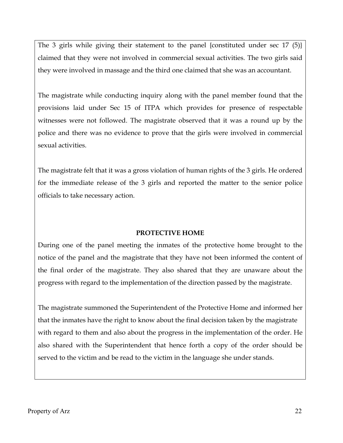The 3 girls while giving their statement to the panel {constituted under sec 17 (5)} claimed that they were not involved in commercial sexual activities. The two girls said they were involved in massage and the third one claimed that she was an accountant.

The magistrate while conducting inquiry along with the panel member found that the provisions laid under Sec 15 of ITPA which provides for presence of respectable witnesses were not followed. The magistrate observed that it was a round up by the police and there was no evidence to prove that the girls were involved in commercial sexual activities.

The magistrate felt that it was a gross violation of human rights of the 3 girls. He ordered for the immediate release of the 3 girls and reported the matter to the senior police officials to take necessary action.

## **PROTECTIVE HOME**

During one of the panel meeting the inmates of the protective home brought to the notice of the panel and the magistrate that they have not been informed the content of the final order of the magistrate. They also shared that they are unaware about the progress with regard to the implementation of the direction passed by the magistrate.

The magistrate summoned the Superintendent of the Protective Home and informed her that the inmates have the right to know about the final decision taken by the magistrate with regard to them and also about the progress in the implementation of the order. He also shared with the Superintendent that hence forth a copy of the order should be served to the victim and be read to the victim in the language she under stands.